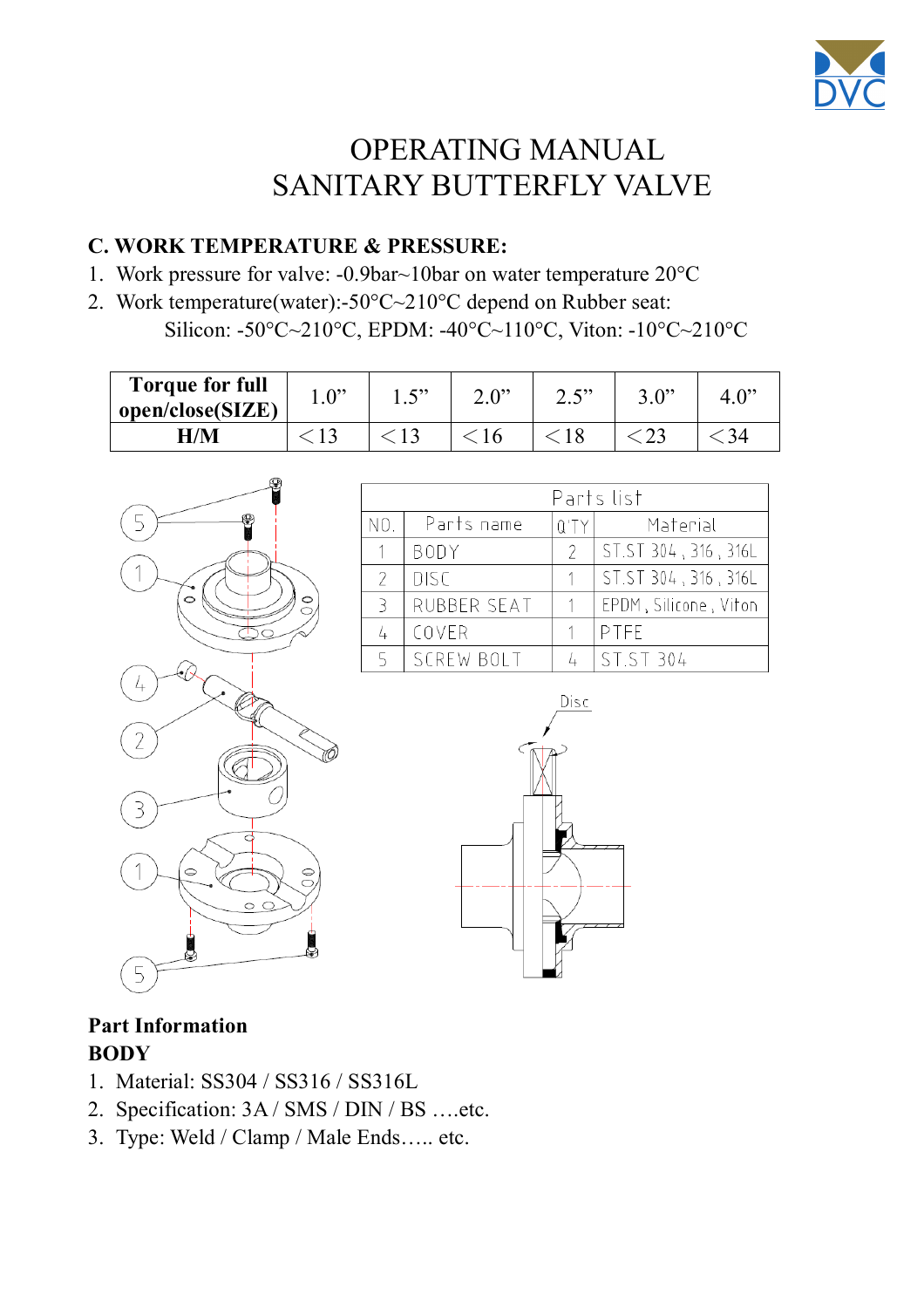

# **Instructions:**

- 1. The butterfly valves are designed using for different standards and low torque. And the valve can use for different handles or actuators. (as actuator manual)
- 2. Notice the valve is set in correct position on or off
- 3. The screws on the body must be locked.
- 4. Need often to check of the valve on-off in the correct position
- 5. The handle which connecting with the valve is not loose
- 6. Need to keep the valve surface clean and to prevent it not being damaged by strong acid
- 7. Disassemble the valve for cleaning its inner parts and surface and pay attention to keep all screws and gasket
- 8. Screws loose or bolt shorted on valves are both not allows to work
- 9. Make sure to check gasket (depends on your operate situation) or to replace a new gasket on schedule for avoid leaking

# **Notice:**

# **A. PRECAUTION BEFORE USING:**

- 1. Please keep butterfly valve dryly in safe area always
- 2. Stock handles and the butterfly valves in the right location to avoid being damaged.
- 3. Keep the valve surface clean and prevent not being damaged by strong acid.

# **B. CLEAN MODLE:**

1. Cleaning In Place(CIP) system

Follow the direction of your own CIP system.

Note: The pH of the cleaning liquid is different from the seal you use. Avoid using steam cleaning on EPDM seal.

2. Clean Out Place(COP)

not recommended to use on welding valve

Disassemble the valve for cleaning its inner parts and surface.

(adviced to page 4, **Dismantling**)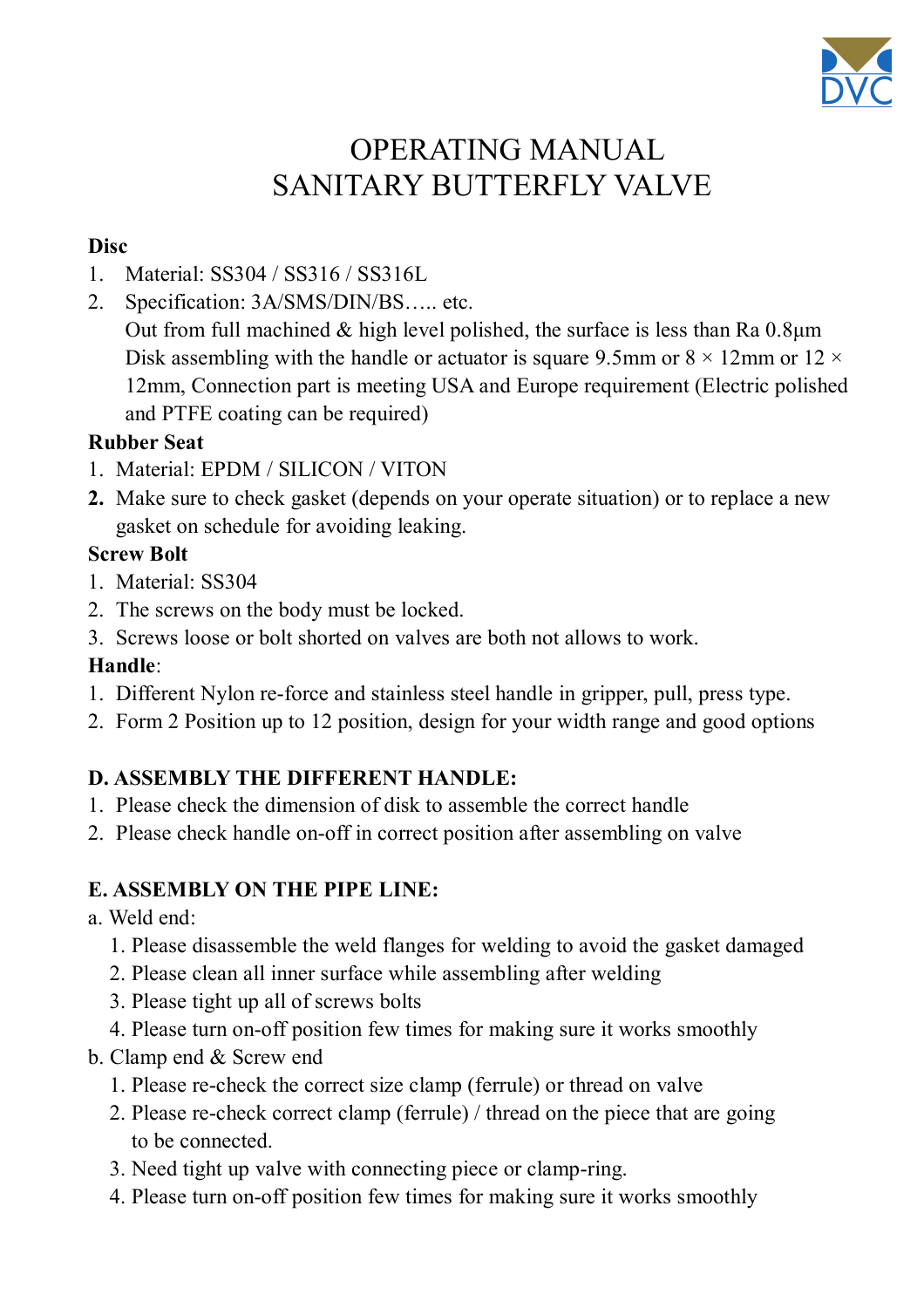

### **C. WORK TEMPERATURE & PRESSURE:**

- 1. Work pressure for valve: -0.9bar~10bar on water temperature 20°C
- 2. Work temperature(water):-50°C~210°C depend on Rubber seat: Silicon: -50°C~210°C, EPDM: -40°C~110°C, Viton: -10°C~210°C

| <b>Torque for full</b><br>open/close(SIZE) | $\mathbf{D}$ | د د س<br>. | $\mathbf{A}$ | יים ר<br>∠.J | 2N |  |
|--------------------------------------------|--------------|------------|--------------|--------------|----|--|
| $\mathbf{H}/\mathbf{M}$                    |              |            |              |              |    |  |







### **Part Information BODY**

- 1. Material: SS304 / SS316 / SS316L
- 2. Specification: 3A / SMS / DIN / BS ….etc.
- 3. Type: Weld / Clamp / Male Ends….. etc.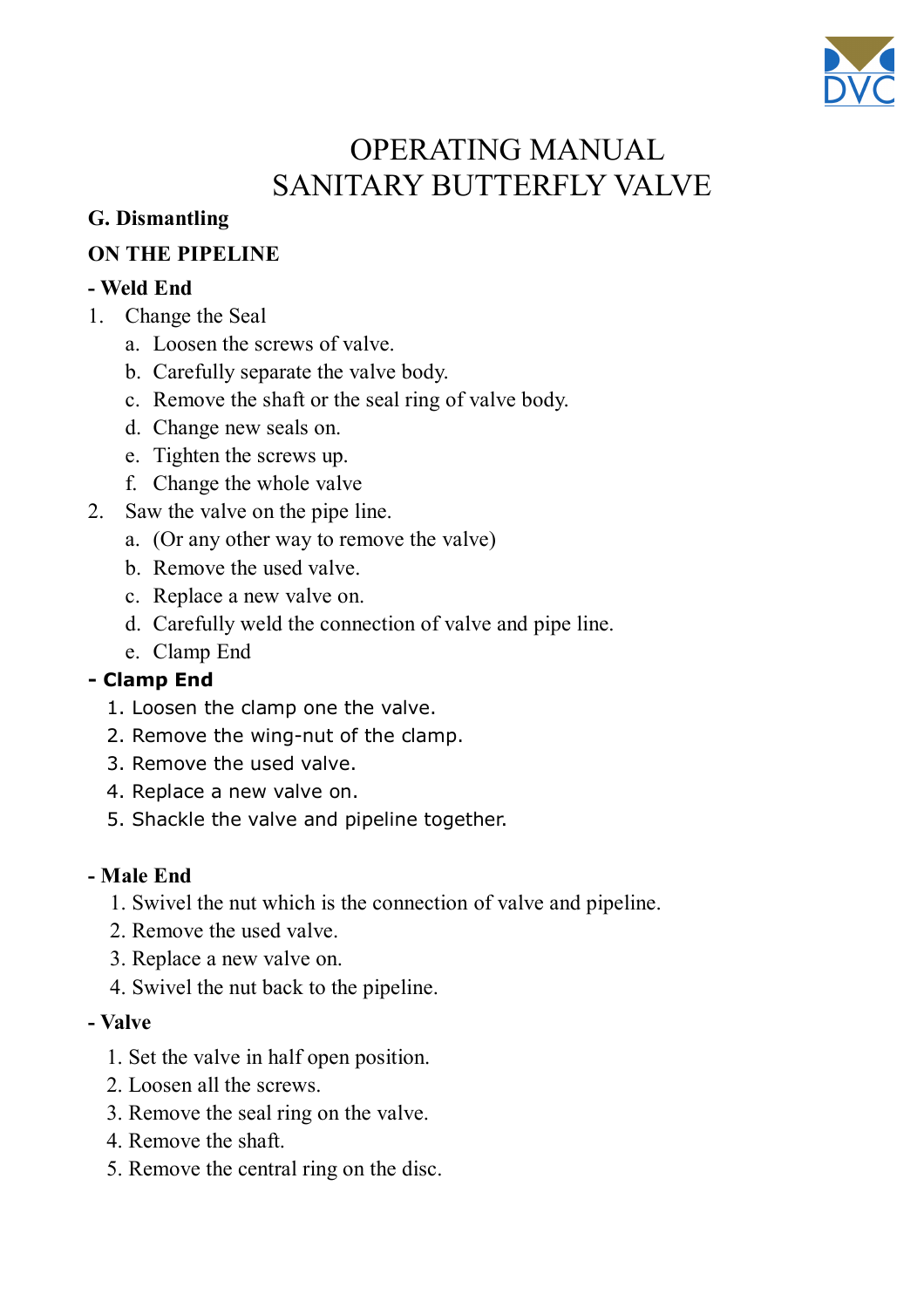

### **Disc**

- 1. Material: SS304 / SS316 / SS316L
- 2. Specification: 3A/SMS/DIN/BS….. etc. Out from full machined  $&$  high level polished, the surface is less than Ra 0.8 $\mu$ m Disk assembling with the handle or actuator is square 9.5mm or  $8 \times 12$ mm or  $12 \times$ 12mm, Connection part is meeting USA and Europe requirement (Electric polished and PTFE coating can be required)

### **Rubber Seat**

- 1. Material: EPDM / SILICON / VITON
- **2.** Make sure to check gasket (depends on your operate situation) or to replace a new gasket on schedule for avoiding leaking.

## **Screw Bolt**

- 1. Material: SS304
- 2. The screws on the body must be locked.
- 3. Screws loose or bolt shorted on valves are both not allows to work.

# **Handle**:

- 1. Different Nylon re-force and stainless steel handle in gripper, pull, press type.
- 2. Form 2 Position up to 12 position, design for your width range and good options

# **D. ASSEMBLY THE DIFFERENT HANDLE:**

- 1. Please check the dimension of disk to assemble the correct handle
- 2. Please check handle on-off in correct position after assembling on valve

# **E. ASSEMBLY ON THE PIPE LINE:**

- a. Weld end:
	- 1. Please disassemble the weld flanges for welding to avoid the gasket damaged
	- 2. Please clean all inner surface while assembling after welding
	- 3. Please tight up all of screws bolts
	- 4. Please turn on-off position few times for making sure it works smoothly
- b. Clamp end & Screw end
	- 1. Please re-check the correct size clamp (ferrule) or thread on valve
	- 2. Please re-check correct clamp (ferrule) / thread on the piece that are going to be connected.
	- 3. Need tight up valve with connecting piece or clamp-ring.
	- 4. Please turn on-off position few times for making sure it works smoothly